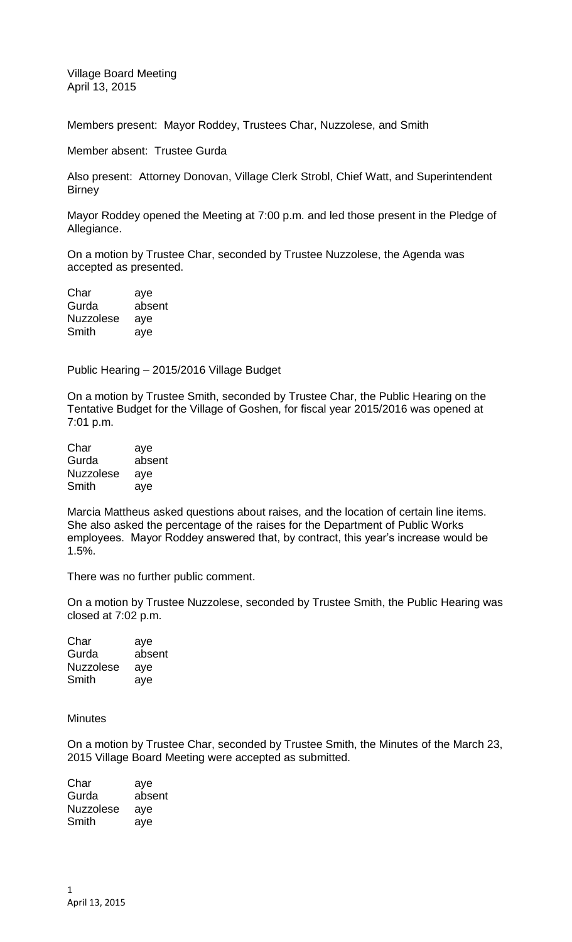Village Board Meeting April 13, 2015

Members present: Mayor Roddey, Trustees Char, Nuzzolese, and Smith

Member absent: Trustee Gurda

Also present: Attorney Donovan, Village Clerk Strobl, Chief Watt, and Superintendent **Birney** 

Mayor Roddey opened the Meeting at 7:00 p.m. and led those present in the Pledge of Allegiance.

On a motion by Trustee Char, seconded by Trustee Nuzzolese, the Agenda was accepted as presented.

| Char             | aye    |
|------------------|--------|
| Gurda            | absent |
| <b>Nuzzolese</b> | aye    |
| Smith            | aye    |

Public Hearing – 2015/2016 Village Budget

On a motion by Trustee Smith, seconded by Trustee Char, the Public Hearing on the Tentative Budget for the Village of Goshen, for fiscal year 2015/2016 was opened at 7:01 p.m.

| Char             | aye    |
|------------------|--------|
| Gurda            | absent |
| <b>Nuzzolese</b> | aye    |
| Smith            | aye    |

Marcia Mattheus asked questions about raises, and the location of certain line items. She also asked the percentage of the raises for the Department of Public Works employees. Mayor Roddey answered that, by contract, this year's increase would be 1.5%.

There was no further public comment.

On a motion by Trustee Nuzzolese, seconded by Trustee Smith, the Public Hearing was closed at 7:02 p.m.

Char aye Gurda absent Nuzzolese aye Smith aye

**Minutes** 

On a motion by Trustee Char, seconded by Trustee Smith, the Minutes of the March 23, 2015 Village Board Meeting were accepted as submitted.

| Char             | aye    |
|------------------|--------|
| Gurda            | absent |
| <b>Nuzzolese</b> | aye    |
| Smith            | aye    |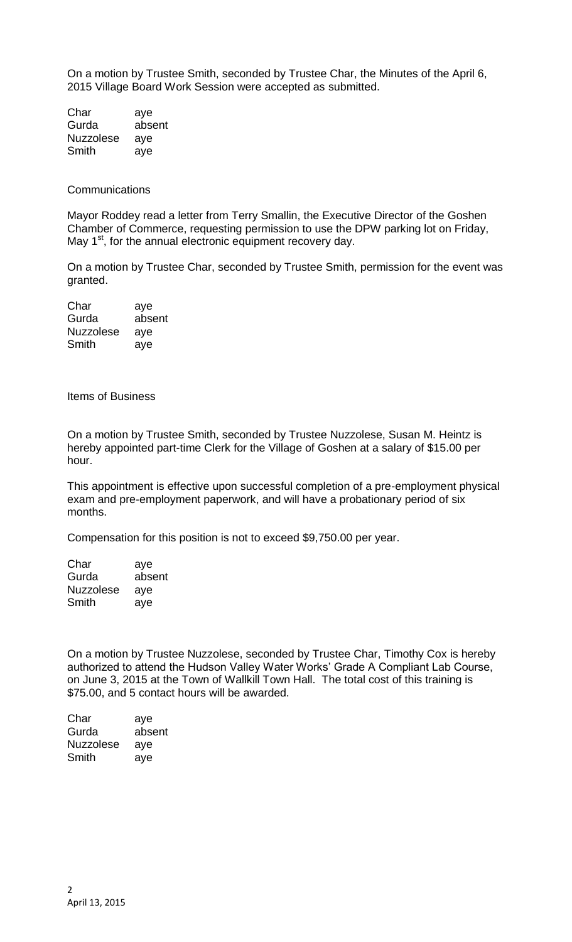On a motion by Trustee Smith, seconded by Trustee Char, the Minutes of the April 6, 2015 Village Board Work Session were accepted as submitted.

Char aye Gurda absent Nuzzolese aye Smith aye

**Communications** 

Mayor Roddey read a letter from Terry Smallin, the Executive Director of the Goshen Chamber of Commerce, requesting permission to use the DPW parking lot on Friday, May  $1<sup>st</sup>$ , for the annual electronic equipment recovery day.

On a motion by Trustee Char, seconded by Trustee Smith, permission for the event was granted.

| Char             | aye    |
|------------------|--------|
| Gurda            | absent |
| <b>Nuzzolese</b> | aye    |
| Smith            | aye    |

Items of Business

On a motion by Trustee Smith, seconded by Trustee Nuzzolese, Susan M. Heintz is hereby appointed part-time Clerk for the Village of Goshen at a salary of \$15.00 per hour.

This appointment is effective upon successful completion of a pre-employment physical exam and pre-employment paperwork, and will have a probationary period of six months.

Compensation for this position is not to exceed \$9,750.00 per year.

| Char             | aye    |
|------------------|--------|
| Gurda            | absent |
| <b>Nuzzolese</b> | aye    |
| Smith            | aye    |

On a motion by Trustee Nuzzolese, seconded by Trustee Char, Timothy Cox is hereby authorized to attend the Hudson Valley Water Works' Grade A Compliant Lab Course, on June 3, 2015 at the Town of Wallkill Town Hall. The total cost of this training is \$75.00, and 5 contact hours will be awarded.

| Char      | aye    |
|-----------|--------|
| Gurda     | absent |
| Nuzzolese | aye    |
| Smith     | aye    |
|           |        |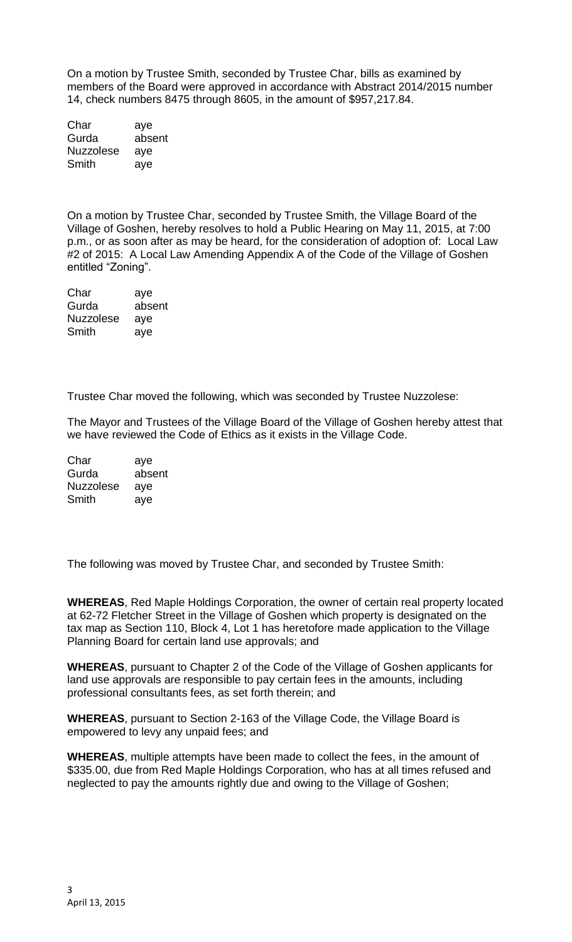On a motion by Trustee Smith, seconded by Trustee Char, bills as examined by members of the Board were approved in accordance with Abstract 2014/2015 number 14, check numbers 8475 through 8605, in the amount of \$957,217.84.

| Char             | aye    |
|------------------|--------|
| Gurda            | absent |
| <b>Nuzzolese</b> | aye    |
| Smith            | aye    |

On a motion by Trustee Char, seconded by Trustee Smith, the Village Board of the Village of Goshen, hereby resolves to hold a Public Hearing on May 11, 2015, at 7:00 p.m., or as soon after as may be heard, for the consideration of adoption of: Local Law #2 of 2015: A Local Law Amending Appendix A of the Code of the Village of Goshen entitled "Zoning".

| Char             | aye    |
|------------------|--------|
| Gurda            | absent |
| <b>Nuzzolese</b> | aye    |
| Smith            | aye    |

Trustee Char moved the following, which was seconded by Trustee Nuzzolese:

The Mayor and Trustees of the Village Board of the Village of Goshen hereby attest that we have reviewed the Code of Ethics as it exists in the Village Code.

Char aye Gurda absent Nuzzolese aye Smith aye

The following was moved by Trustee Char, and seconded by Trustee Smith:

**WHEREAS**, Red Maple Holdings Corporation, the owner of certain real property located at 62-72 Fletcher Street in the Village of Goshen which property is designated on the tax map as Section 110, Block 4, Lot 1 has heretofore made application to the Village Planning Board for certain land use approvals; and

**WHEREAS**, pursuant to Chapter 2 of the Code of the Village of Goshen applicants for land use approvals are responsible to pay certain fees in the amounts, including professional consultants fees, as set forth therein; and

**WHEREAS**, pursuant to Section 2-163 of the Village Code, the Village Board is empowered to levy any unpaid fees; and

**WHEREAS**, multiple attempts have been made to collect the fees, in the amount of \$335.00, due from Red Maple Holdings Corporation, who has at all times refused and neglected to pay the amounts rightly due and owing to the Village of Goshen;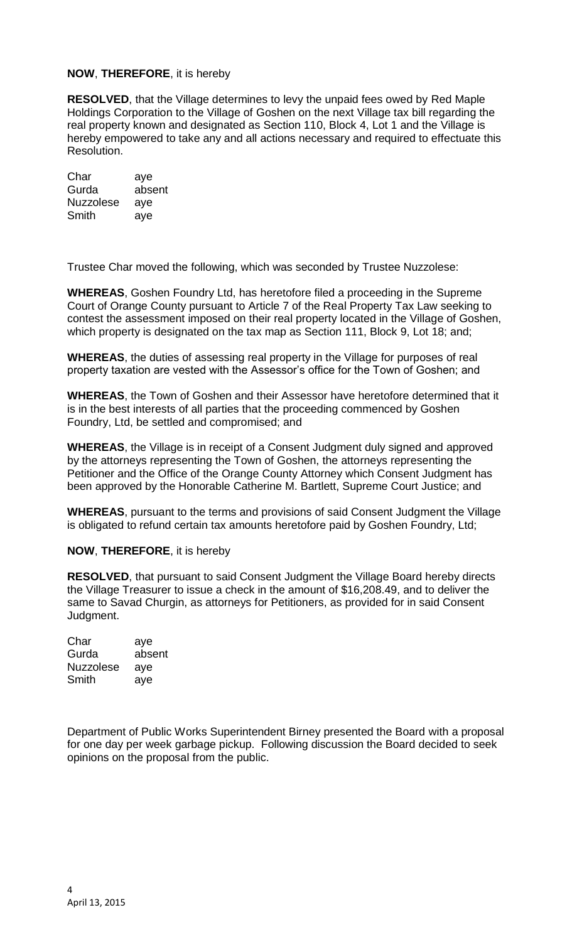## **NOW**, **THEREFORE**, it is hereby

**RESOLVED**, that the Village determines to levy the unpaid fees owed by Red Maple Holdings Corporation to the Village of Goshen on the next Village tax bill regarding the real property known and designated as Section 110, Block 4, Lot 1 and the Village is hereby empowered to take any and all actions necessary and required to effectuate this Resolution.

Char aye Gurda absent Nuzzolese aye Smith aye

Trustee Char moved the following, which was seconded by Trustee Nuzzolese:

**WHEREAS**, Goshen Foundry Ltd, has heretofore filed a proceeding in the Supreme Court of Orange County pursuant to Article 7 of the Real Property Tax Law seeking to contest the assessment imposed on their real property located in the Village of Goshen, which property is designated on the tax map as Section 111, Block 9, Lot 18; and;

**WHEREAS**, the duties of assessing real property in the Village for purposes of real property taxation are vested with the Assessor's office for the Town of Goshen; and

**WHEREAS**, the Town of Goshen and their Assessor have heretofore determined that it is in the best interests of all parties that the proceeding commenced by Goshen Foundry, Ltd, be settled and compromised; and

**WHEREAS**, the Village is in receipt of a Consent Judgment duly signed and approved by the attorneys representing the Town of Goshen, the attorneys representing the Petitioner and the Office of the Orange County Attorney which Consent Judgment has been approved by the Honorable Catherine M. Bartlett, Supreme Court Justice; and

**WHEREAS**, pursuant to the terms and provisions of said Consent Judgment the Village is obligated to refund certain tax amounts heretofore paid by Goshen Foundry, Ltd;

**NOW**, **THEREFORE**, it is hereby

**RESOLVED**, that pursuant to said Consent Judgment the Village Board hereby directs the Village Treasurer to issue a check in the amount of \$16,208.49, and to deliver the same to Savad Churgin, as attorneys for Petitioners, as provided for in said Consent Judgment.

Char aye Gurda absent Nuzzolese aye Smith aye

Department of Public Works Superintendent Birney presented the Board with a proposal for one day per week garbage pickup. Following discussion the Board decided to seek opinions on the proposal from the public.